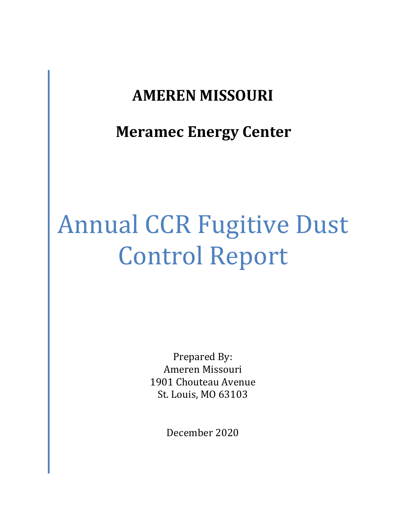# **AMEREN MISSOURI**

**Meramec Energy Center**

# Annual CCR Fugitive Dust Control Report

Prepared By: Ameren Missouri 1901 Chouteau Avenue St. Louis, MO 63103

December 2020